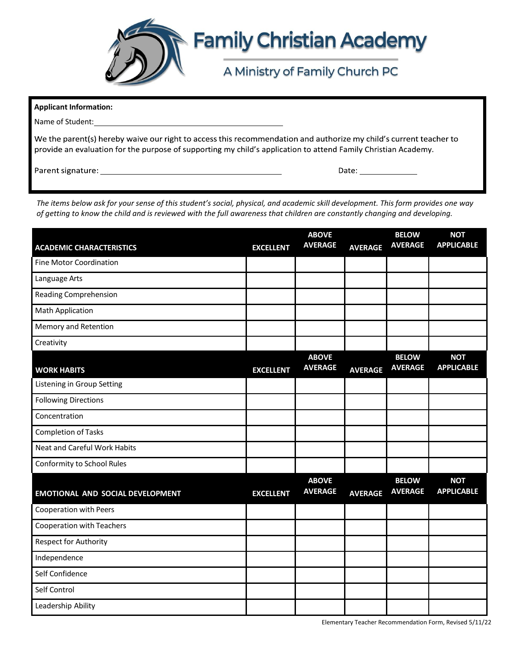

| <b>Applicant Information:</b>                                                                                                                                                                                                       |                                                                                                                                                                                                                                |  |  |  |  |  |
|-------------------------------------------------------------------------------------------------------------------------------------------------------------------------------------------------------------------------------------|--------------------------------------------------------------------------------------------------------------------------------------------------------------------------------------------------------------------------------|--|--|--|--|--|
| Name of Student: Name of Student:                                                                                                                                                                                                   |                                                                                                                                                                                                                                |  |  |  |  |  |
| We the parent(s) hereby waive our right to access this recommendation and authorize my child's current teacher to<br>provide an evaluation for the purpose of supporting my child's application to attend Family Christian Academy. |                                                                                                                                                                                                                                |  |  |  |  |  |
| Parent signature: with a state of the state of the state of the state of the state of the state of the state o                                                                                                                      | Date: the contract of the contract of the contract of the contract of the contract of the contract of the contract of the contract of the contract of the contract of the contract of the contract of the contract of the cont |  |  |  |  |  |

The items below ask for your sense of this student's social, physical, and academic skill development. This form provides one way *of getting to know the child and is reviewed with the full awareness that children are constantly changing and developing.*

| <b>ACADEMIC CHARACTERISTICS</b>     | <b>EXCELLENT</b> | <b>ABOVE</b><br><b>AVERAGE</b> | <b>AVERAGE</b> | <b>BELOW</b><br><b>AVERAGE</b> | <b>NOT</b><br><b>APPLICABLE</b> |
|-------------------------------------|------------------|--------------------------------|----------------|--------------------------------|---------------------------------|
| <b>Fine Motor Coordination</b>      |                  |                                |                |                                |                                 |
| Language Arts                       |                  |                                |                |                                |                                 |
| <b>Reading Comprehension</b>        |                  |                                |                |                                |                                 |
| <b>Math Application</b>             |                  |                                |                |                                |                                 |
| Memory and Retention                |                  |                                |                |                                |                                 |
| Creativity                          |                  |                                |                |                                |                                 |
| <b>WORK HABITS</b>                  | <b>EXCELLENT</b> | <b>ABOVE</b><br><b>AVERAGE</b> | <b>AVERAGE</b> | <b>BELOW</b><br><b>AVERAGE</b> | <b>NOT</b><br><b>APPLICABLE</b> |
| Listening in Group Setting          |                  |                                |                |                                |                                 |
| <b>Following Directions</b>         |                  |                                |                |                                |                                 |
| Concentration                       |                  |                                |                |                                |                                 |
| <b>Completion of Tasks</b>          |                  |                                |                |                                |                                 |
| <b>Neat and Careful Work Habits</b> |                  |                                |                |                                |                                 |
| Conformity to School Rules          |                  |                                |                |                                |                                 |
| EMOTIONAL AND SOCIAL DEVELOPMENT    | <b>EXCELLENT</b> | <b>ABOVE</b><br><b>AVERAGE</b> | <b>AVERAGE</b> | <b>BELOW</b><br><b>AVERAGE</b> | <b>NOT</b><br><b>APPLICABLE</b> |
| <b>Cooperation with Peers</b>       |                  |                                |                |                                |                                 |
| Cooperation with Teachers           |                  |                                |                |                                |                                 |
| <b>Respect for Authority</b>        |                  |                                |                |                                |                                 |
| Independence                        |                  |                                |                |                                |                                 |
| Self Confidence                     |                  |                                |                |                                |                                 |
| Self Control                        |                  |                                |                |                                |                                 |
| Leadership Ability                  |                  |                                |                |                                |                                 |